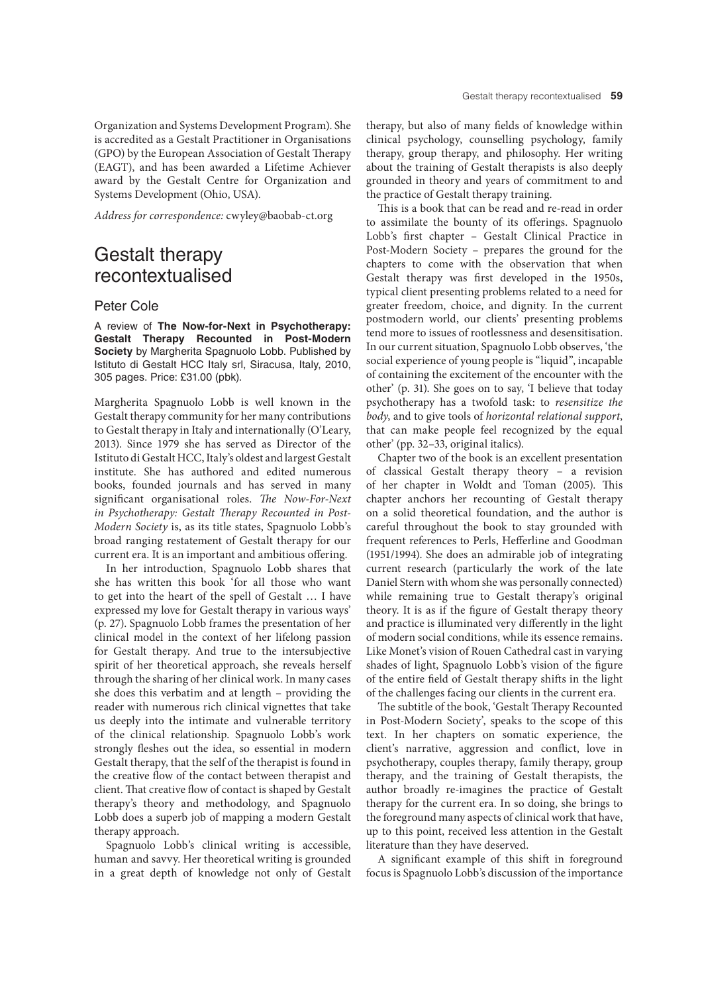Organization and Systems Development Program). She is accredited as a Gestalt Practitioner in Organisations (GPO) by the European Association of Gestalt Therapy (EAGT), and has been awarded a Lifetime Achiever award by the Gestalt Centre for Organization and Systems Development (Ohio, USA).

*Address for correspondence:* cwyley@baobab-ct.org

## Gestalt therapy recontextualised

## Peter Cole

A review of **The Now-for-Next in Psychotherapy: Gestalt Therapy Recounted in Post-Modern Society** by Margherita Spagnuolo Lobb. Published by Istituto di Gestalt HCC Italy srl, Siracusa, Italy, 2010, 305 pages. Price: £31.00 (pbk).

Margherita Spagnuolo Lobb is well known in the Gestalt therapy community for her many contributions to Gestalt therapy in Italy and internationally (O'Leary, 2013). Since 1979 she has served as Director of the Istituto di Gestalt HCC, Italy's oldest and largest Gestalt institute. She has authored and edited numerous books, founded journals and has served in many significant organisational roles. The Now-For-Next in Psychotherapy: Gestalt Therapy Recounted in Post-*Modern Society* is, as its title states, Spagnuolo Lobb's broad ranging restatement of Gestalt therapy for our current era. It is an important and ambitious ofering.

In her introduction, Spagnuolo Lobb shares that she has written this book 'for all those who want to get into the heart of the spell of Gestalt … I have expressed my love for Gestalt therapy in various ways' (p. 27). Spagnuolo Lobb frames the presentation of her clinical model in the context of her lifelong passion for Gestalt therapy. And true to the intersubjective spirit of her theoretical approach, she reveals herself through the sharing of her clinical work. In many cases she does this verbatim and at length – providing the reader with numerous rich clinical vignettes that take us deeply into the intimate and vulnerable territory of the clinical relationship. Spagnuolo Lobb's work strongly feshes out the idea, so essential in modern Gestalt therapy, that the self of the therapist is found in the creative flow of the contact between therapist and client. That creative flow of contact is shaped by Gestalt therapy's theory and methodology, and Spagnuolo Lobb does a superb job of mapping a modern Gestalt therapy approach.

Spagnuolo Lobb's clinical writing is accessible, human and savvy. Her theoretical writing is grounded in a great depth of knowledge not only of Gestalt therapy, but also of many felds of knowledge within clinical psychology, counselling psychology, family therapy, group therapy, and philosophy. Her writing about the training of Gestalt therapists is also deeply grounded in theory and years of commitment to and the practice of Gestalt therapy training.

This is a book that can be read and re-read in order to assimilate the bounty of its oferings. Spagnuolo Lobb's frst chapter – Gestalt Clinical Practice in Post-Modern Society – prepares the ground for the chapters to come with the observation that when Gestalt therapy was frst developed in the 1950s, typical client presenting problems related to a need for greater freedom, choice, and dignity. In the current postmodern world, our clients' presenting problems tend more to issues of rootlessness and desensitisation. In our current situation, Spagnuolo Lobb observes, 'the social experience of young people is "liquid", incapable of containing the excitement of the encounter with the other' (p. 31). She goes on to say, 'I believe that today psychotherapy has a twofold task: to *resensitize the body*, and to give tools of *horizontal relational support*, that can make people feel recognized by the equal other' (pp. 32–33, original italics).

Chapter two of the book is an excellent presentation of classical Gestalt therapy theory – a revision of her chapter in Woldt and Toman (2005). Tis chapter anchors her recounting of Gestalt therapy on a solid theoretical foundation, and the author is careful throughout the book to stay grounded with frequent references to Perls, Heferline and Goodman (1951/1994). She does an admirable job of integrating current research (particularly the work of the late Daniel Stern with whom she was personally connected) while remaining true to Gestalt therapy's original theory. It is as if the fgure of Gestalt therapy theory and practice is illuminated very diferently in the light of modern social conditions, while its essence remains. Like Monet's vision of Rouen Cathedral cast in varying shades of light, Spagnuolo Lobb's vision of the fgure of the entire feld of Gestalt therapy shifs in the light of the challenges facing our clients in the current era.

The subtitle of the book, 'Gestalt Therapy Recounted in Post-Modern Society', speaks to the scope of this text. In her chapters on somatic experience, the client's narrative, aggression and confict, love in psychotherapy, couples therapy, family therapy, group therapy, and the training of Gestalt therapists, the author broadly re-imagines the practice of Gestalt therapy for the current era. In so doing, she brings to the foreground many aspects of clinical work that have, up to this point, received less attention in the Gestalt literature than they have deserved.

A signifcant example of this shif in foreground focus is Spagnuolo Lobb's discussion of the importance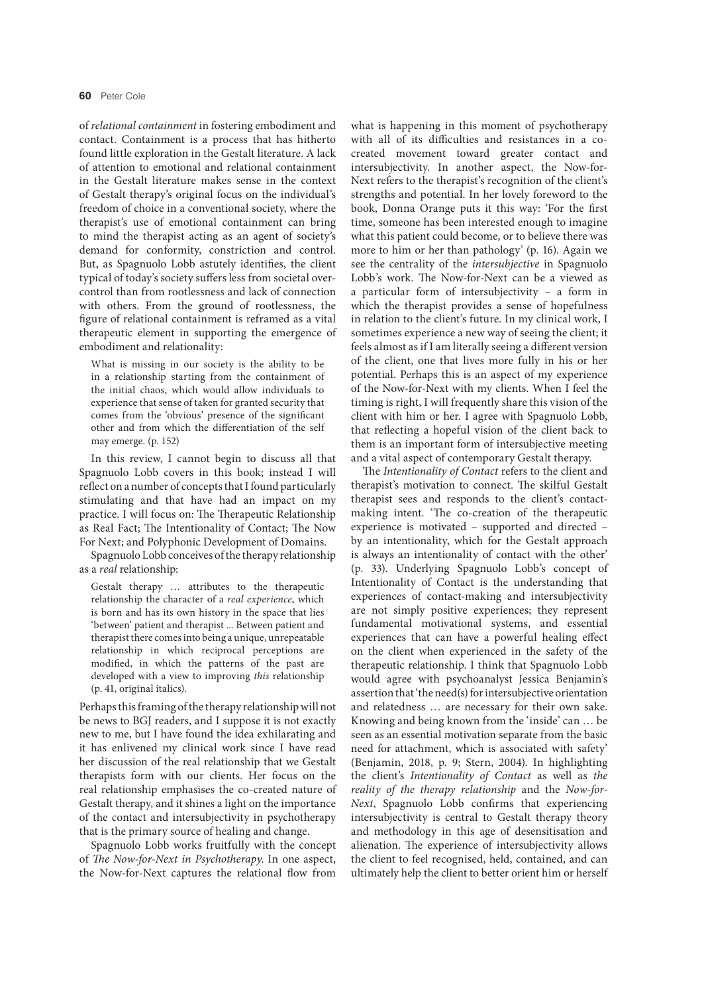of *relational containment* in fostering embodiment and contact. Containment is a process that has hitherto found little exploration in the Gestalt literature. A lack of attention to emotional and relational containment in the Gestalt literature makes sense in the context of Gestalt therapy's original focus on the individual's freedom of choice in a conventional society, where the therapist's use of emotional containment can bring to mind the therapist acting as an agent of society's demand for conformity, constriction and control. But, as Spagnuolo Lobb astutely identifes, the client typical of today's society sufers less from societal overcontrol than from rootlessness and lack of connection with others. From the ground of rootlessness, the fgure of relational containment is reframed as a vital therapeutic element in supporting the emergence of embodiment and relationality:

What is missing in our society is the ability to be in a relationship starting from the containment of the initial chaos, which would allow individuals to experience that sense of taken for granted security that comes from the 'obvious' presence of the signifcant other and from which the diferentiation of the self may emerge. (p. 152)

In this review, I cannot begin to discuss all that Spagnuolo Lobb covers in this book; instead I will refect on a number of concepts that I found particularly stimulating and that have had an impact on my practice. I will focus on: The Therapeutic Relationship as Real Fact; The Intentionality of Contact; The Now For Next; and Polyphonic Development of Domains.

Spagnuolo Lobb conceives of the therapy relationship as a *real* relationship:

Gestalt therapy … attributes to the therapeutic relationship the character of a *real experience*, which is born and has its own history in the space that lies 'between' patient and therapist ... Between patient and therapist there comes into being a unique, unrepeatable relationship in which reciprocal perceptions are modifed, in which the patterns of the past are developed with a view to improving *this* relationship (p. 41, original italics).

Perhaps this framing of the therapy relationship will not be news to BGJ readers, and I suppose it is not exactly new to me, but I have found the idea exhilarating and it has enlivened my clinical work since I have read her discussion of the real relationship that we Gestalt therapists form with our clients. Her focus on the real relationship emphasises the co-created nature of Gestalt therapy, and it shines a light on the importance of the contact and intersubjectivity in psychotherapy that is the primary source of healing and change.

Spagnuolo Lobb works fruitfully with the concept of T*e Now-for-Next in Psychotherapy*. In one aspect, the Now-for-Next captures the relational flow from what is happening in this moment of psychotherapy with all of its difficulties and resistances in a cocreated movement toward greater contact and intersubjectivity. In another aspect, the Now-for-Next refers to the therapist's recognition of the client's strengths and potential. In her lovely foreword to the book, Donna Orange puts it this way: 'For the frst time, someone has been interested enough to imagine what this patient could become, or to believe there was more to him or her than pathology' (p. 16). Again we see the centrality of the *intersubjective* in Spagnuolo Lobb's work. The Now-for-Next can be a viewed as a particular form of intersubjectivity – a form in which the therapist provides a sense of hopefulness in relation to the client's future. In my clinical work, I sometimes experience a new way of seeing the client; it feels almost as if I am literally seeing a diferent version of the client, one that lives more fully in his or her potential. Perhaps this is an aspect of my experience of the Now-for-Next with my clients. When I feel the timing is right, I will frequently share this vision of the client with him or her. I agree with Spagnuolo Lobb, that refecting a hopeful vision of the client back to them is an important form of intersubjective meeting and a vital aspect of contemporary Gestalt therapy.

The *Intentionality of Contact* refers to the client and therapist's motivation to connect. The skilful Gestalt therapist sees and responds to the client's contactmaking intent. 'The co-creation of the therapeutic experience is motivated – supported and directed – by an intentionality, which for the Gestalt approach is always an intentionality of contact with the other' (p. 33). Underlying Spagnuolo Lobb's concept of Intentionality of Contact is the understanding that experiences of contact-making and intersubjectivity are not simply positive experiences; they represent fundamental motivational systems, and essential experiences that can have a powerful healing efect on the client when experienced in the safety of the therapeutic relationship. I think that Spagnuolo Lobb would agree with psychoanalyst Jessica Benjamin's assertion that 'the need(s) for intersubjective orientation and relatedness … are necessary for their own sake. Knowing and being known from the 'inside' can … be seen as an essential motivation separate from the basic need for attachment, which is associated with safety' (Benjamin, 2018, p. 9; Stern, 2004). In highlighting the client's *Intentionality of Contact* as well as *the reality of the therapy relationship* and the *Now-for-Next*, Spagnuolo Lobb confrms that experiencing intersubjectivity is central to Gestalt therapy theory and methodology in this age of desensitisation and alienation. The experience of intersubjectivity allows the client to feel recognised, held, contained, and can ultimately help the client to better orient him or herself